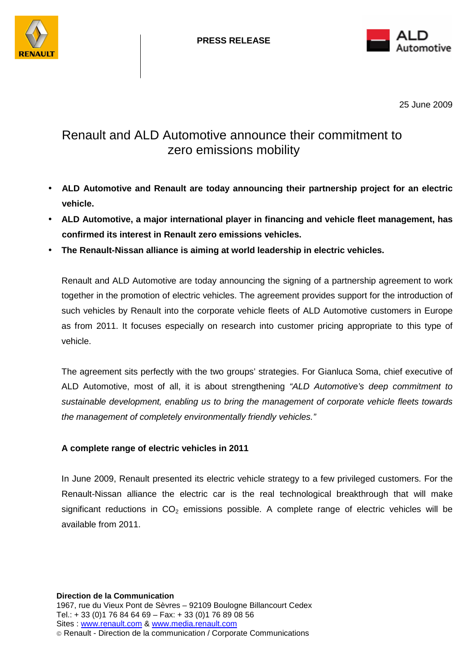



25 June 2009

# Renault and ALD Automotive announce their commitment to zero emissions mobility

- **ALD Automotive and Renault are today announcing their partnership project for an electric vehicle.**
- **ALD Automotive, a major international player in financing and vehicle fleet management, has confirmed its interest in Renault zero emissions vehicles.**
- **The Renault-Nissan alliance is aiming at world leadership in electric vehicles.**

Renault and ALD Automotive are today announcing the signing of a partnership agreement to work together in the promotion of electric vehicles. The agreement provides support for the introduction of such vehicles by Renault into the corporate vehicle fleets of ALD Automotive customers in Europe as from 2011. It focuses especially on research into customer pricing appropriate to this type of vehicle.

The agreement sits perfectly with the two groups' strategies. For Gianluca Soma, chief executive of ALD Automotive, most of all, it is about strengthening "ALD Automotive's deep commitment to sustainable development, enabling us to bring the management of corporate vehicle fleets towards the management of completely environmentally friendly vehicles."

# **A complete range of electric vehicles in 2011**

In June 2009, Renault presented its electric vehicle strategy to a few privileged customers. For the Renault-Nissan alliance the electric car is the real technological breakthrough that will make significant reductions in  $CO<sub>2</sub>$  emissions possible. A complete range of electric vehicles will be available from 2011.